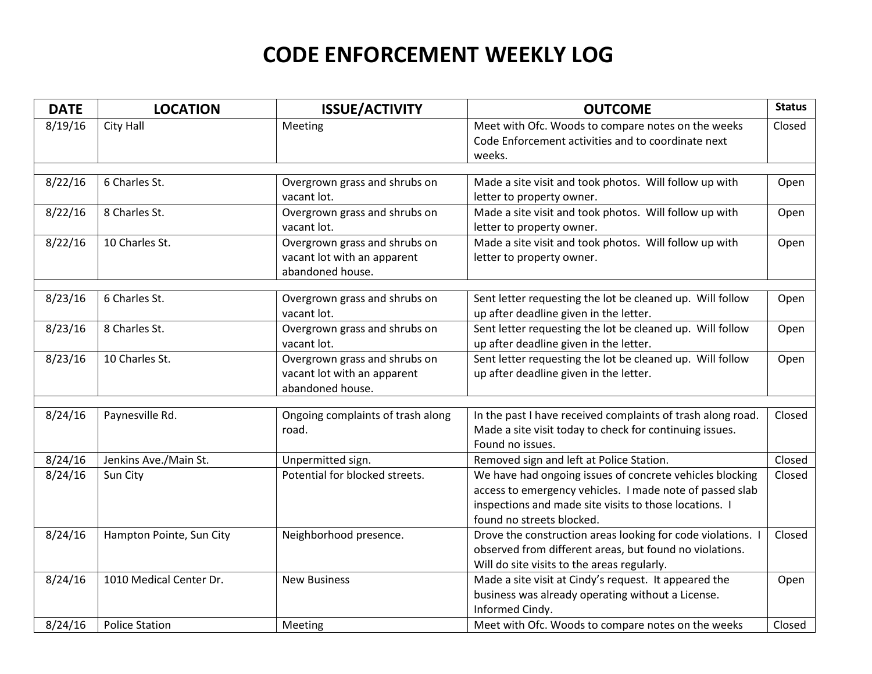## **CODE ENFORCEMENT WEEKLY LOG**

| <b>DATE</b> | <b>LOCATION</b>          | <b>ISSUE/ACTIVITY</b>                                                            | <b>OUTCOME</b>                                                                                                                                                                                              | <b>Status</b> |
|-------------|--------------------------|----------------------------------------------------------------------------------|-------------------------------------------------------------------------------------------------------------------------------------------------------------------------------------------------------------|---------------|
| 8/19/16     | City Hall                | Meeting                                                                          | Meet with Ofc. Woods to compare notes on the weeks<br>Code Enforcement activities and to coordinate next<br>weeks.                                                                                          | Closed        |
| 8/22/16     | 6 Charles St.            | Overgrown grass and shrubs on<br>vacant lot.                                     | Made a site visit and took photos. Will follow up with<br>letter to property owner.                                                                                                                         | Open          |
| 8/22/16     | 8 Charles St.            | Overgrown grass and shrubs on<br>vacant lot.                                     | Made a site visit and took photos. Will follow up with<br>letter to property owner.                                                                                                                         | Open          |
| 8/22/16     | 10 Charles St.           | Overgrown grass and shrubs on<br>vacant lot with an apparent<br>abandoned house. | Made a site visit and took photos. Will follow up with<br>letter to property owner.                                                                                                                         | Open          |
| 8/23/16     | 6 Charles St.            | Overgrown grass and shrubs on<br>vacant lot.                                     | Sent letter requesting the lot be cleaned up. Will follow<br>up after deadline given in the letter.                                                                                                         | Open          |
| 8/23/16     | 8 Charles St.            | Overgrown grass and shrubs on<br>vacant lot.                                     | Sent letter requesting the lot be cleaned up. Will follow<br>up after deadline given in the letter.                                                                                                         | Open          |
| 8/23/16     | 10 Charles St.           | Overgrown grass and shrubs on<br>vacant lot with an apparent<br>abandoned house. | Sent letter requesting the lot be cleaned up. Will follow<br>up after deadline given in the letter.                                                                                                         | Open          |
|             |                          |                                                                                  |                                                                                                                                                                                                             |               |
| 8/24/16     | Paynesville Rd.          | Ongoing complaints of trash along<br>road.                                       | In the past I have received complaints of trash along road.<br>Made a site visit today to check for continuing issues.<br>Found no issues.                                                                  | Closed        |
| 8/24/16     | Jenkins Ave./Main St.    | Unpermitted sign.                                                                | Removed sign and left at Police Station.                                                                                                                                                                    | Closed        |
| 8/24/16     | Sun City                 | Potential for blocked streets.                                                   | We have had ongoing issues of concrete vehicles blocking<br>access to emergency vehicles. I made note of passed slab<br>inspections and made site visits to those locations. I<br>found no streets blocked. | Closed        |
| 8/24/16     | Hampton Pointe, Sun City | Neighborhood presence.                                                           | Drove the construction areas looking for code violations.<br>observed from different areas, but found no violations.<br>Will do site visits to the areas regularly.                                         | Closed        |
| 8/24/16     | 1010 Medical Center Dr.  | <b>New Business</b>                                                              | Made a site visit at Cindy's request. It appeared the<br>business was already operating without a License.<br>Informed Cindy.                                                                               | Open          |
| 8/24/16     | <b>Police Station</b>    | Meeting                                                                          | Meet with Ofc. Woods to compare notes on the weeks                                                                                                                                                          | Closed        |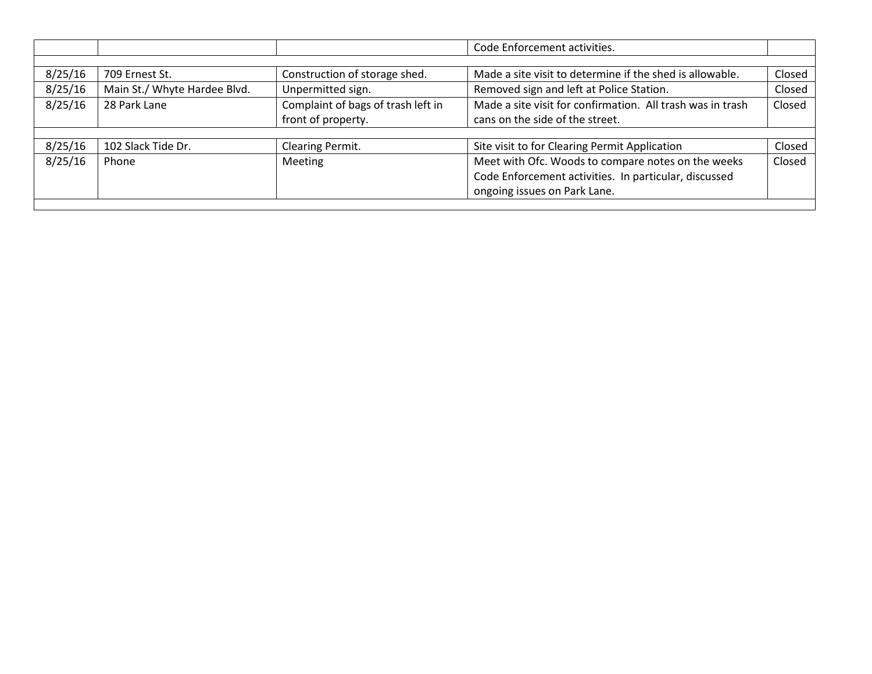|         |                              |                                    | Code Enforcement activities.                               |        |  |  |  |
|---------|------------------------------|------------------------------------|------------------------------------------------------------|--------|--|--|--|
|         |                              |                                    |                                                            |        |  |  |  |
| 8/25/16 | 709 Ernest St.               | Construction of storage shed.      | Made a site visit to determine if the shed is allowable.   | Closed |  |  |  |
| 8/25/16 | Main St./ Whyte Hardee Blvd. | Unpermitted sign.                  | Removed sign and left at Police Station.                   | Closed |  |  |  |
| 8/25/16 | 28 Park Lane                 | Complaint of bags of trash left in | Made a site visit for confirmation. All trash was in trash | Closed |  |  |  |
|         |                              | front of property.                 | cans on the side of the street.                            |        |  |  |  |
|         |                              |                                    |                                                            |        |  |  |  |
| 8/25/16 | 102 Slack Tide Dr.           | Clearing Permit.                   | Site visit to for Clearing Permit Application              | Closed |  |  |  |
| 8/25/16 | Phone                        | <b>Meeting</b>                     | Meet with Ofc. Woods to compare notes on the weeks         | Closed |  |  |  |
|         |                              |                                    | Code Enforcement activities. In particular, discussed      |        |  |  |  |
|         |                              |                                    | ongoing issues on Park Lane.                               |        |  |  |  |
|         |                              |                                    |                                                            |        |  |  |  |